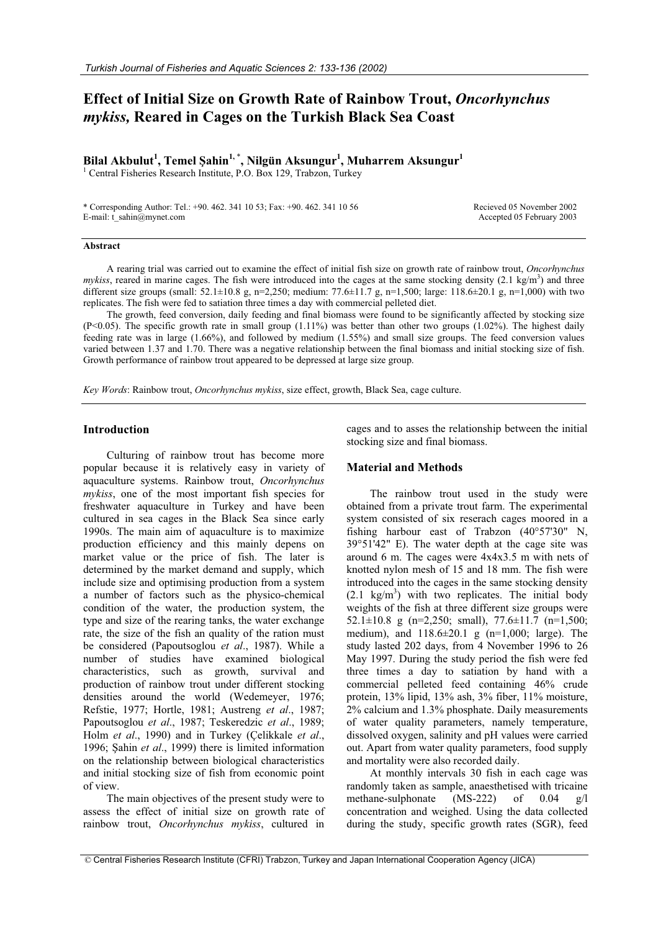# **Effect of Initial Size on Growth Rate of Rainbow Trout,** *Oncorhynchus mykiss,* **Reared in Cages on the Turkish Black Sea Coast**

**Bilal Akbulut<sup>1</sup> , Temel ùahin1,** \* **, Nilgün Aksungur1 , Muharrem Aksungur1**

<sup>1</sup> Central Fisheries Research Institute, P.O. Box 129, Trabzon, Turkey

\* Corresponding Author: Tel.: +90. 462. 341 10 53; Fax: +90. 462. 341 10 56 E-mail: t\_sahin@mynet.com

Recieved 05 November 2002 Accepted 05 February 2003

#### **Abstract**

A rearing trial was carried out to examine the effect of initial fish size on growth rate of rainbow trout, *Oncorhynchus*   $m$ ykiss, reared in marine cages. The fish were introduced into the cages at the same stocking density  $(2.1 \text{ kg/m}^3)$  and three different size groups (small:  $52.1 \pm 10.8$  g, n=2,250; medium:  $77.6 \pm 11.7$  g, n=1,500; large:  $118.6 \pm 20.1$  g, n=1,000) with two replicates. The fish were fed to satiation three times a day with commercial pelleted diet.

The growth, feed conversion, daily feeding and final biomass were found to be significantly affected by stocking size (P<0.05). The specific growth rate in small group  $(1.11\%)$  was better than other two groups  $(1.02\%)$ . The highest daily feeding rate was in large (1.66%), and followed by medium (1.55%) and small size groups. The feed conversion values varied between 1.37 and 1.70. There was a negative relationship between the final biomass and initial stocking size of fish. Growth performance of rainbow trout appeared to be depressed at large size group.

*Key Words*: Rainbow trout, *Oncorhynchus mykiss*, size effect, growth, Black Sea, cage culture.

## **Introduction**

Culturing of rainbow trout has become more popular because it is relatively easy in variety of aquaculture systems. Rainbow trout, *Oncorhynchus mykiss*, one of the most important fish species for freshwater aquaculture in Turkey and have been cultured in sea cages in the Black Sea since early 1990s. The main aim of aquaculture is to maximize production efficiency and this mainly depens on market value or the price of fish. The later is determined by the market demand and supply, which include size and optimising production from a system a number of factors such as the physico-chemical condition of the water, the production system, the type and size of the rearing tanks, the water exchange rate, the size of the fish an quality of the ration must be considered (Papoutsoglou *et al*., 1987). While a number of studies have examined biological characteristics, such as growth, survival and production of rainbow trout under different stocking densities around the world (Wedemeyer, 1976; Refstie, 1977; Hortle, 1981; Austreng *et al*., 1987; Papoutsoglou *et al*., 1987; Teskeredzic *et al*., 1989; Holm *et al*., 1990) and in Turkey (Çelikkale *et al*., 1996; Sahin *et al.*, 1999) there is limited information on the relationship between biological characteristics and initial stocking size of fish from economic point of view.

The main objectives of the present study were to assess the effect of initial size on growth rate of rainbow trout, *Oncorhynchus mykiss*, cultured in

cages and to asses the relationship between the initial stocking size and final biomass.

## **Material and Methods**

The rainbow trout used in the study were obtained from a private trout farm. The experimental system consisted of six reserach cages moored in a fishing harbour east of Trabzon (40°57'30" N, 39°51'42" E). The water depth at the cage site was around 6 m. The cages were 4x4x3.5 m with nets of knotted nylon mesh of 15 and 18 mm. The fish were introduced into the cages in the same stocking density  $(2.1 \text{ kg/m}^3)$  with two replicates. The initial body weights of the fish at three different size groups were 52.1 $\pm$ 10.8 g (n=2,250; small), 77.6 $\pm$ 11.7 (n=1,500; medium), and 118.6±20.1 g (n=1,000; large). The study lasted 202 days, from 4 November 1996 to 26 May 1997. During the study period the fish were fed three times a day to satiation by hand with a commercial pelleted feed containing 46% crude protein, 13% lipid, 13% ash, 3% fiber, 11% moisture, 2% calcium and 1.3% phosphate. Daily measurements of water quality parameters, namely temperature, dissolved oxygen, salinity and pH values were carried out. Apart from water quality parameters, food supply and mortality were also recorded daily.

At monthly intervals 30 fish in each cage was randomly taken as sample, anaesthetised with tricaine methane-sulphonate (MS-222) of 0.04 g/l concentration and weighed. Using the data collected during the study, specific growth rates (SGR), feed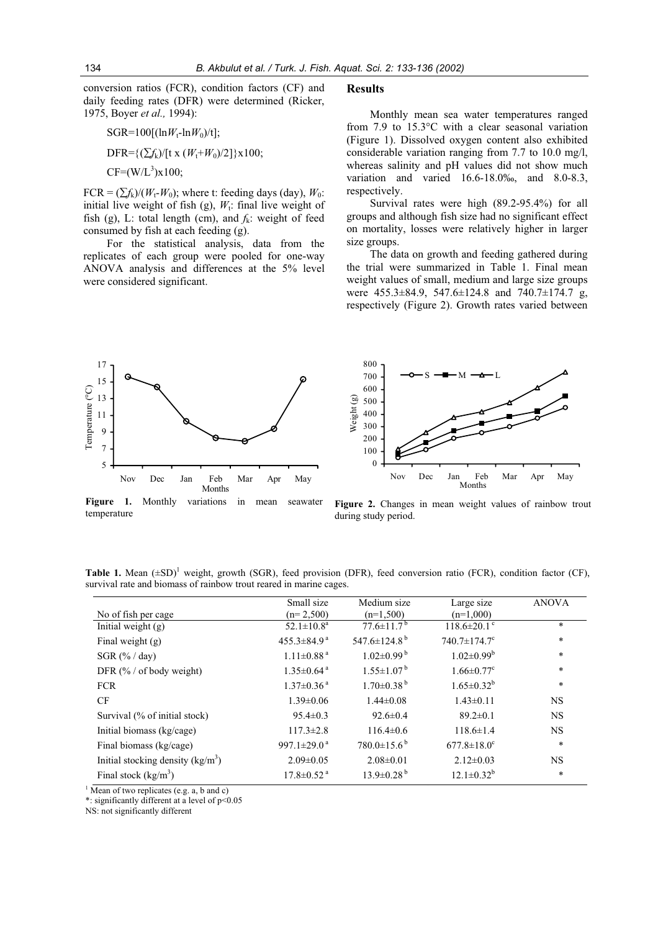conversion ratios (FCR), condition factors (CF) and daily feeding rates (DFR) were determined (Ricker, 1975, Boyer *et al.,* 1994):

SGR=100[(lnW<sub>t</sub>-lnW<sub>0</sub>)/t];  
DFR= {(
$$
\sum f_k
$$
)/[t x (W<sub>t</sub>+W<sub>0</sub>)/2]}x100;  
CF=(W/L<sup>3</sup>)x100;

 $FCR = (\sum f_k)/(W_t-W_0)$ ; where t: feeding days (day),  $W_0$ : initial live weight of fish (g),  $W_t$ : final live weight of fish (g), L: total length (cm), and  $f_k$ : weight of feed consumed by fish at each feeding (g).

For the statistical analysis, data from the replicates of each group were pooled for one-way ANOVA analysis and differences at the 5% level were considered significant.

## **Results**

Monthly mean sea water temperatures ranged from 7.9 to 15.3°C with a clear seasonal variation (Figure 1). Dissolved oxygen content also exhibited considerable variation ranging from 7.7 to 10.0 mg/l, whereas salinity and pH values did not show much variation and varied 16.6-18.0‰, and 8.0-8.3, respectively.

Survival rates were high (89.2-95.4%) for all groups and although fish size had no significant effect on mortality, losses were relatively higher in larger size groups.

The data on growth and feeding gathered during the trial were summarized in Table 1. Final mean weight values of small, medium and large size groups were 455.3±84.9, 547.6±124.8 and 740.7±174.7 g, respectively (Figure 2). Growth rates varied between





**Figure 1.** Monthly variations in mean seawater temperature

**Figure 2.** Changes in mean weight values of rainbow trout during study period.

Table 1. Mean (±SD)<sup>1</sup> weight, growth (SGR), feed provision (DFR), feed conversion ratio (FCR), condition factor (CF), survival rate and biomass of rainbow trout reared in marine cages.

| No of fish per cage                          | Small size<br>$(n=2,500)$     | Medium size<br>$(n=1,500)$     | Large size<br>$(n=1,000)$      | <b>ANOVA</b> |
|----------------------------------------------|-------------------------------|--------------------------------|--------------------------------|--------------|
| Initial weight $(g)$                         | $52.1 \pm 10.8^a$             | $77.6 \pm 11.7^{\mathrm{b}}$   | $118.6 \pm 20.1$ <sup>c</sup>  | $\ast$       |
| Final weight $(g)$                           | $455.3 \pm 84.9^{\text{a}}$   | 547.6 $\pm$ 124.8 <sup>b</sup> | $740.7 \pm 174.7$ <sup>c</sup> | $\ast$       |
| SGR $(\frac{9}{6}$ / day)                    | $1.11 \pm 0.88$ <sup>a</sup>  | $1.02 \pm 0.99$ <sup>b</sup>   | $1.02 \pm 0.99^b$              | $\ast$       |
| DFR $(\frac{9}{6} / \text{ of body weight})$ | $1.35 \pm 0.64$ <sup>a</sup>  | $1.55 \pm 1.07^{\mathrm{b}}$   | $1.66 \pm 0.77$ <sup>c</sup>   | $\ast$       |
| <b>FCR</b>                                   | $1.37 \pm 0.36$ <sup>a</sup>  | $1.70\pm0.38^{b}$              | $1.65 \pm 0.32^b$              | $\ast$       |
| CF                                           | $1.39 \pm 0.06$               | $1.44 \pm 0.08$                | $1.43 \pm 0.11$                | <b>NS</b>    |
| Survival (% of initial stock)                | $95.4 \pm 0.3$                | $92.6 \pm 0.4$                 | $89.2 \pm 0.1$                 | <b>NS</b>    |
| Initial biomass (kg/cage)                    | $117.3 \pm 2.8$               | $116.4\pm0.6$                  | $118.6 \pm 1.4$                | NS.          |
| Final biomass (kg/cage)                      | 997.1 $\pm$ 29.0 <sup>a</sup> | $780.0 \pm 15.6^{\mathrm{b}}$  | $677.8 \pm 18.0^c$             | $\ast$       |
| Initial stocking density $(kg/m^3)$          | $2.09 \pm 0.05$               | $2.08 \pm 0.01$                | $2.12 \pm 0.03$                | <b>NS</b>    |
| Final stock $(kg/m3)$                        | $17.8 \pm 0.52$ <sup>a</sup>  | $13.9 \pm 0.28^{b}$            | $12.1 \pm 0.32^b$              | $\ast$       |

<sup>1</sup> Mean of two replicates (e.g. a, b and c)

\*: significantly different at a level of p<0.05

NS: not significantly different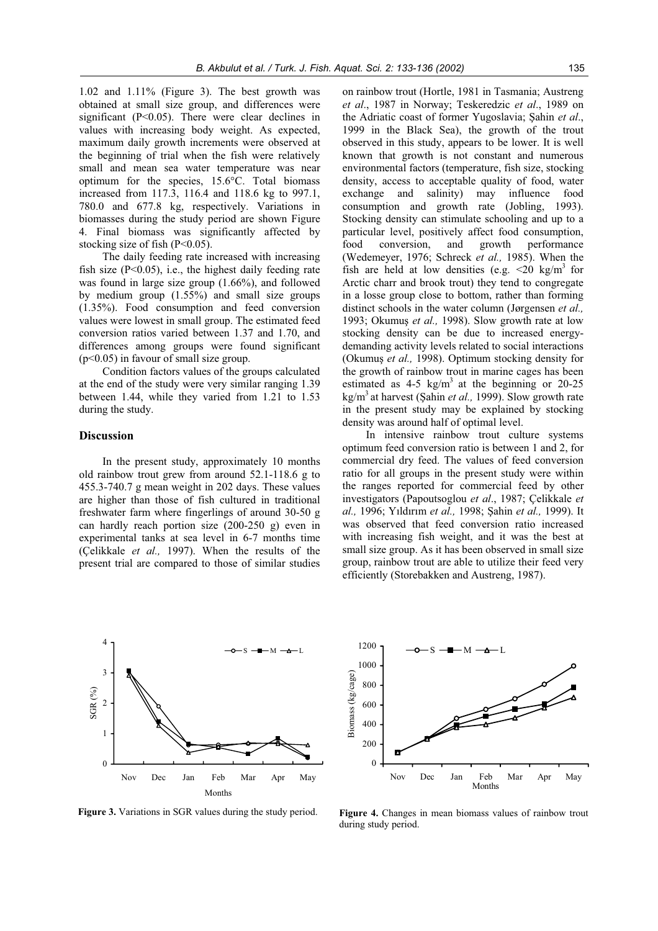1.02 and 1.11% (Figure 3). The best growth was obtained at small size group, and differences were significant  $(P<0.05)$ . There were clear declines in values with increasing body weight. As expected, maximum daily growth increments were observed at the beginning of trial when the fish were relatively small and mean sea water temperature was near optimum for the species, 15.6°C. Total biomass increased from 117.3, 116.4 and 118.6 kg to 997.1, 780.0 and 677.8 kg, respectively. Variations in biomasses during the study period are shown Figure 4. Final biomass was significantly affected by stocking size of fish  $(P<0.05)$ .

The daily feeding rate increased with increasing fish size  $(P<0.05)$ , i.e., the highest daily feeding rate was found in large size group (1.66%), and followed by medium group (1.55%) and small size groups (1.35%). Food consumption and feed conversion values were lowest in small group. The estimated feed conversion ratios varied between 1.37 and 1.70, and differences among groups were found significant (p<0.05) in favour of small size group.

Condition factors values of the groups calculated at the end of the study were very similar ranging 1.39 between 1.44, while they varied from 1.21 to 1.53 during the study.

## **Discussion**

In the present study, approximately 10 months old rainbow trout grew from around 52.1-118.6 g to 455.3-740.7 g mean weight in 202 days. These values are higher than those of fish cultured in traditional freshwater farm where fingerlings of around 30-50 g can hardly reach portion size (200-250 g) even in experimental tanks at sea level in 6-7 months time (Çelikkale *et al.,* 1997). When the results of the present trial are compared to those of similar studies

on rainbow trout (Hortle, 1981 in Tasmania; Austreng *et al*., 1987 in Norway; Teskeredzic *et al*., 1989 on the Adriatic coast of former Yugoslavia; Sahin *et al.*, 1999 in the Black Sea), the growth of the trout observed in this study, appears to be lower. It is well known that growth is not constant and numerous environmental factors (temperature, fish size, stocking density, access to acceptable quality of food, water exchange and salinity) may influence food consumption and growth rate (Jobling, 1993). Stocking density can stimulate schooling and up to a particular level, positively affect food consumption, food conversion, and growth performance (Wedemeyer, 1976; Schreck *et al.,* 1985). When the fish are held at low densities (e.g.  $\leq 20 \text{ kg/m}^3$  for Arctic charr and brook trout) they tend to congregate in a losse group close to bottom, rather than forming distinct schools in the water column (Jørgensen *et al.,* 1993; Okumuş et al., 1998). Slow growth rate at low stocking density can be due to increased energydemanding activity levels related to social interactions (Okumuş et al., 1998). Optimum stocking density for the growth of rainbow trout in marine cages has been estimated as  $4-5$  kg/m<sup>3</sup> at the beginning or 20-25 kg/m<sup>3</sup> at harvest (Sahin *et al.*, 1999). Slow growth rate in the present study may be explained by stocking density was around half of optimal level.

In intensive rainbow trout culture systems optimum feed conversion ratio is between 1 and 2, for commercial dry feed. The values of feed conversion ratio for all groups in the present study were within the ranges reported for commercial feed by other investigators (Papoutsoglou *et al*., 1987; Çelikkale *et al.,* 1996; Yıldırım *et al.,* 1998; Şahin *et al.,* 1999). It was observed that feed conversion ratio increased with increasing fish weight, and it was the best at small size group. As it has been observed in small size group, rainbow trout are able to utilize their feed very efficiently (Storebakken and Austreng, 1987).



**Figure 3.** Variations in SGR values during the study period.



**Figure 4.** Changes in mean biomass values of rainbow trout during study period.